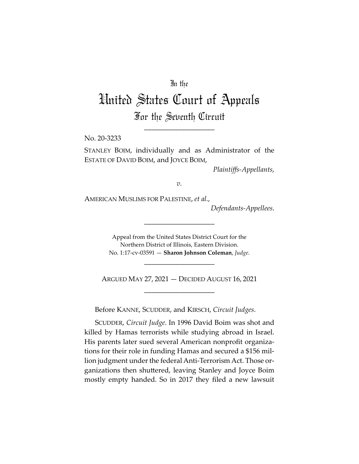# In the

# United States Court of Appeals For the Seventh Circuit

\_\_\_\_\_\_\_\_\_\_\_\_\_\_\_\_\_\_\_\_

No. 20-3233

STANLEY BOIM, individually and as Administrator of the ESTATE OF DAVID BOIM, and JOYCE BOIM,

*Plaintiffs-Appellants*,

*v.*

AMERICAN MUSLIMS FOR PALESTINE, *et al.*,

*Defendants-Appellees*.

Appeal from the United States District Court for the Northern District of Illinois, Eastern Division. No. 1:17-cv-03591 — **Sharon Johnson Coleman**, *Judge*.

\_\_\_\_\_\_\_\_\_\_\_\_\_\_\_\_\_\_\_\_

\_\_\_\_\_\_\_\_\_\_\_\_\_\_\_\_\_\_\_\_

ARGUED MAY 27, 2021 — DECIDED AUGUST 16, 2021 \_\_\_\_\_\_\_\_\_\_\_\_\_\_\_\_\_\_\_\_

Before KANNE, SCUDDER, and KIRSCH, *Circuit Judges*.

SCUDDER, *Circuit Judge*. In 1996 David Boim was shot and killed by Hamas terrorists while studying abroad in Israel. His parents later sued several American nonprofit organizations for their role in funding Hamas and secured a \$156 million judgment under the federal Anti-Terrorism Act. Those organizations then shuttered, leaving Stanley and Joyce Boim mostly empty handed. So in 2017 they filed a new lawsuit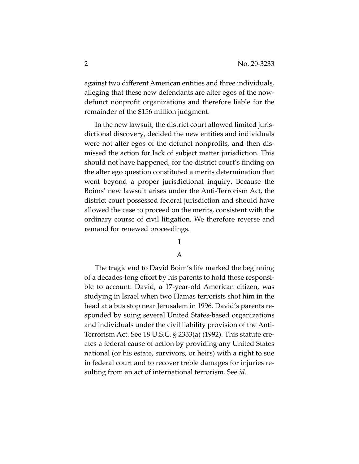against two different American entities and three individuals, alleging that these new defendants are alter egos of the nowdefunct nonprofit organizations and therefore liable for the remainder of the \$156 million judgment.

In the new lawsuit, the district court allowed limited jurisdictional discovery, decided the new entities and individuals were not alter egos of the defunct nonprofits, and then dismissed the action for lack of subject matter jurisdiction. This should not have happened, for the district court's finding on the alter ego question constituted a merits determination that went beyond a proper jurisdictional inquiry. Because the Boims' new lawsuit arises under the Anti-Terrorism Act, the district court possessed federal jurisdiction and should have allowed the case to proceed on the merits, consistent with the ordinary course of civil litigation. We therefore reverse and remand for renewed proceedings.

# **I**

## A

The tragic end to David Boim's life marked the beginning of a decades-long effort by his parents to hold those responsible to account. David, a 17-year-old American citizen, was studying in Israel when two Hamas terrorists shot him in the head at a bus stop near Jerusalem in 1996. David's parents responded by suing several United States-based organizations and individuals under the civil liability provision of the Anti-Terrorism Act. See 18 U.S.C. § 2333(a) (1992). This statute creates a federal cause of action by providing any United States national (or his estate, survivors, or heirs) with a right to sue in federal court and to recover treble damages for injuries resulting from an act of international terrorism. See *id.*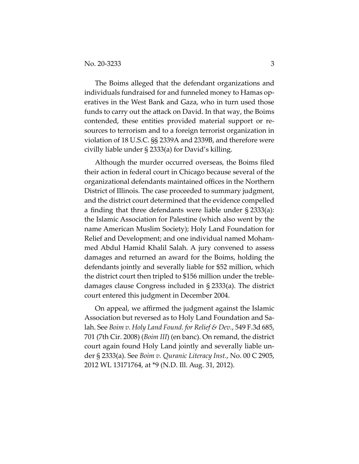The Boims alleged that the defendant organizations and individuals fundraised for and funneled money to Hamas operatives in the West Bank and Gaza, who in turn used those funds to carry out the attack on David. In that way, the Boims contended, these entities provided material support or resources to terrorism and to a foreign terrorist organization in violation of 18 U.S.C. §§ 2339A and 2339B, and therefore were civilly liable under § 2333(a) for David's killing.

Although the murder occurred overseas, the Boims filed their action in federal court in Chicago because several of the organizational defendants maintained offices in the Northern District of Illinois. The case proceeded to summary judgment, and the district court determined that the evidence compelled a finding that three defendants were liable under § 2333(a): the Islamic Association for Palestine (which also went by the name American Muslim Society); Holy Land Foundation for Relief and Development; and one individual named Mohammed Abdul Hamid Khalil Salah. A jury convened to assess damages and returned an award for the Boims, holding the defendants jointly and severally liable for \$52 million, which the district court then tripled to \$156 million under the trebledamages clause Congress included in § 2333(a). The district court entered this judgment in December 2004.

On appeal, we affirmed the judgment against the Islamic Association but reversed as to Holy Land Foundation and Salah. See *Boim v. Holy Land Found. for Relief & Dev.*, 549 F.3d 685, 701 (7th Cir. 2008) (*Boim III*) (en banc). On remand, the district court again found Holy Land jointly and severally liable under § 2333(a). See *Boim v. Quranic Literacy Inst.*, No. 00 C 2905, 2012 WL 13171764, at \*9 (N.D. Ill. Aug. 31, 2012).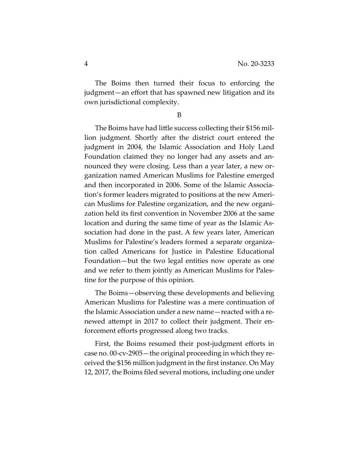The Boims then turned their focus to enforcing the judgment—an effort that has spawned new litigation and its own jurisdictional complexity.

B

The Boims have had little success collecting their \$156 million judgment. Shortly after the district court entered the judgment in 2004, the Islamic Association and Holy Land Foundation claimed they no longer had any assets and announced they were closing. Less than a year later, a new organization named American Muslims for Palestine emerged and then incorporated in 2006. Some of the Islamic Association's former leaders migrated to positions at the new American Muslims for Palestine organization, and the new organization held its first convention in November 2006 at the same location and during the same time of year as the Islamic Association had done in the past. A few years later, American Muslims for Palestine's leaders formed a separate organization called Americans for Justice in Palestine Educational Foundation—but the two legal entities now operate as one and we refer to them jointly as American Muslims for Palestine for the purpose of this opinion.

The Boims—observing these developments and believing American Muslims for Palestine was a mere continuation of the Islamic Association under a new name—reacted with a renewed attempt in 2017 to collect their judgment. Their enforcement efforts progressed along two tracks.

First, the Boims resumed their post-judgment efforts in case no. 00-cv-2905—the original proceeding in which they received the \$156 million judgment in the first instance. On May 12, 2017, the Boims filed several motions, including one under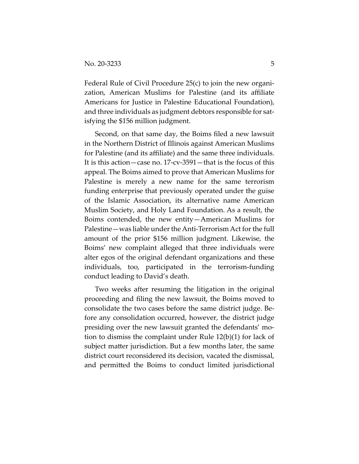Federal Rule of Civil Procedure 25(c) to join the new organization, American Muslims for Palestine (and its affiliate Americans for Justice in Palestine Educational Foundation), and three individuals as judgment debtors responsible for satisfying the \$156 million judgment.

Second, on that same day, the Boims filed a new lawsuit in the Northern District of Illinois against American Muslims for Palestine (and its affiliate) and the same three individuals. It is this action—case no. 17-cv-3591—that is the focus of this appeal. The Boims aimed to prove that American Muslims for Palestine is merely a new name for the same terrorism funding enterprise that previously operated under the guise of the Islamic Association, its alternative name American Muslim Society, and Holy Land Foundation. As a result, the Boims contended, the new entity—American Muslims for Palestine—was liable under the Anti-Terrorism Act for the full amount of the prior \$156 million judgment. Likewise, the Boims' new complaint alleged that three individuals were alter egos of the original defendant organizations and these individuals, too, participated in the terrorism-funding conduct leading to David's death.

Two weeks after resuming the litigation in the original proceeding and filing the new lawsuit, the Boims moved to consolidate the two cases before the same district judge. Before any consolidation occurred, however, the district judge presiding over the new lawsuit granted the defendants' motion to dismiss the complaint under Rule 12(b)(1) for lack of subject matter jurisdiction. But a few months later, the same district court reconsidered its decision, vacated the dismissal, and permitted the Boims to conduct limited jurisdictional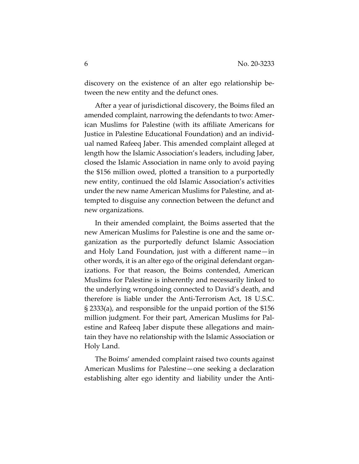discovery on the existence of an alter ego relationship between the new entity and the defunct ones.

After a year of jurisdictional discovery, the Boims filed an amended complaint, narrowing the defendants to two: American Muslims for Palestine (with its affiliate Americans for Justice in Palestine Educational Foundation) and an individual named Rafeeq Jaber. This amended complaint alleged at length how the Islamic Association's leaders, including Jaber, closed the Islamic Association in name only to avoid paying the \$156 million owed, plotted a transition to a purportedly new entity, continued the old Islamic Association's activities under the new name American Muslims for Palestine, and attempted to disguise any connection between the defunct and new organizations.

In their amended complaint, the Boims asserted that the new American Muslims for Palestine is one and the same organization as the purportedly defunct Islamic Association and Holy Land Foundation, just with a different name—in other words, it is an alter ego of the original defendant organizations. For that reason, the Boims contended, American Muslims for Palestine is inherently and necessarily linked to the underlying wrongdoing connected to David's death, and therefore is liable under the Anti-Terrorism Act, 18 U.S.C. § 2333(a), and responsible for the unpaid portion of the \$156 million judgment. For their part, American Muslims for Palestine and Rafeeq Jaber dispute these allegations and maintain they have no relationship with the Islamic Association or Holy Land.

The Boims' amended complaint raised two counts against American Muslims for Palestine—one seeking a declaration establishing alter ego identity and liability under the Anti-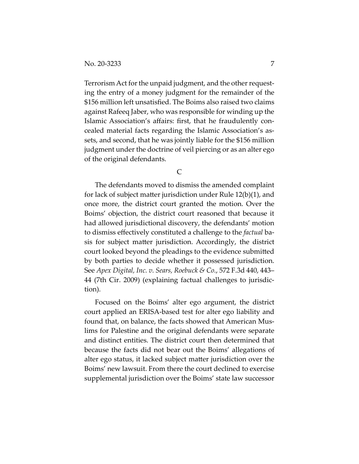Terrorism Act for the unpaid judgment, and the other requesting the entry of a money judgment for the remainder of the \$156 million left unsatisfied. The Boims also raised two claims against Rafeeq Jaber, who was responsible for winding up the Islamic Association's affairs: first, that he fraudulently concealed material facts regarding the Islamic Association's assets, and second, that he was jointly liable for the \$156 million judgment under the doctrine of veil piercing or as an alter ego of the original defendants.

 $\mathcal{C}$ 

The defendants moved to dismiss the amended complaint for lack of subject matter jurisdiction under Rule 12(b)(1), and once more, the district court granted the motion. Over the Boims' objection, the district court reasoned that because it had allowed jurisdictional discovery, the defendants' motion to dismiss effectively constituted a challenge to the *factual* basis for subject matter jurisdiction. Accordingly, the district court looked beyond the pleadings to the evidence submitted by both parties to decide whether it possessed jurisdiction. See *Apex Digital, Inc. v. Sears, Roebuck & Co.*, 572 F.3d 440, 443– 44 (7th Cir. 2009) (explaining factual challenges to jurisdiction).

Focused on the Boims' alter ego argument, the district court applied an ERISA-based test for alter ego liability and found that, on balance, the facts showed that American Muslims for Palestine and the original defendants were separate and distinct entities. The district court then determined that because the facts did not bear out the Boims' allegations of alter ego status, it lacked subject matter jurisdiction over the Boims' new lawsuit. From there the court declined to exercise supplemental jurisdiction over the Boims' state law successor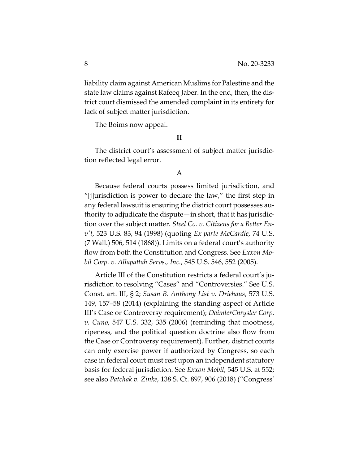liability claim against American Muslims for Palestine and the state law claims against Rafeeq Jaber. In the end, then, the district court dismissed the amended complaint in its entirety for lack of subject matter jurisdiction.

The Boims now appeal.

## **II**

The district court's assessment of subject matter jurisdiction reflected legal error.

#### A

Because federal courts possess limited jurisdiction, and "[j]urisdiction is power to declare the law," the first step in any federal lawsuit is ensuring the district court possesses authority to adjudicate the dispute—in short, that it has jurisdiction over the subject matter. *Steel Co. v. Citizens for a Better Env't*, 523 U.S. 83, 94 (1998) (quoting *Ex parte McCardle*, 74 U.S. (7 Wall.) 506, 514 (1868)). Limits on a federal court's authority flow from both the Constitution and Congress. See *Exxon Mobil Corp. v. Allapattah Servs., Inc.*, 545 U.S. 546, 552 (2005).

Article III of the Constitution restricts a federal court's jurisdiction to resolving "Cases" and "Controversies." See U.S. Const. art. III, § 2; *Susan B. Anthony List v. Driehaus*, 573 U.S. 149, 157–58 (2014) (explaining the standing aspect of Article III's Case or Controversy requirement); *DaimlerChrysler Corp. v. Cuno*, 547 U.S. 332, 335 (2006) (reminding that mootness, ripeness, and the political question doctrine also flow from the Case or Controversy requirement). Further, district courts can only exercise power if authorized by Congress, so each case in federal court must rest upon an independent statutory basis for federal jurisdiction. See *Exxon Mobil*, 545 U.S. at 552; see also *Patchak v. Zinke*, 138 S. Ct. 897, 906 (2018) ("Congress'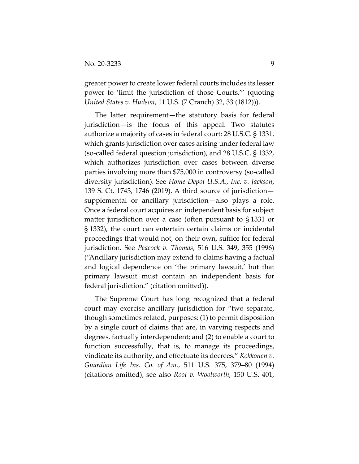greater power to create lower federal courts includes its lesser power to 'limit the jurisdiction of those Courts.'" (quoting *United States v. Hudson*, 11 U.S. (7 Cranch) 32, 33 (1812))).

The latter requirement—the statutory basis for federal jurisdiction—is the focus of this appeal. Two statutes authorize a majority of cases in federal court: 28 U.S.C. § 1331, which grants jurisdiction over cases arising under federal law (so-called federal question jurisdiction), and 28 U.S.C. § 1332, which authorizes jurisdiction over cases between diverse parties involving more than \$75,000 in controversy (so-called diversity jurisdiction). See *Home Depot U.S.A., Inc. v. Jackson*, 139 S. Ct. 1743, 1746 (2019). A third source of jurisdiction supplemental or ancillary jurisdiction—also plays a role. Once a federal court acquires an independent basis for subject matter jurisdiction over a case (often pursuant to § 1331 or § 1332), the court can entertain certain claims or incidental proceedings that would not, on their own, suffice for federal jurisdiction. See *Peacock v. Thomas*, 516 U.S. 349, 355 (1996) ("Ancillary jurisdiction may extend to claims having a factual and logical dependence on 'the primary lawsuit,' but that primary lawsuit must contain an independent basis for federal jurisdiction." (citation omitted)).

The Supreme Court has long recognized that a federal court may exercise ancillary jurisdiction for "two separate, though sometimes related, purposes: (1) to permit disposition by a single court of claims that are, in varying respects and degrees, factually interdependent; and (2) to enable a court to function successfully, that is, to manage its proceedings, vindicate its authority, and effectuate its decrees." *Kokkonen v. Guardian Life Ins. Co. of Am.*, 511 U.S. 375, 379–80 (1994) (citations omitted); see also *Root v. Woolworth*, 150 U.S. 401,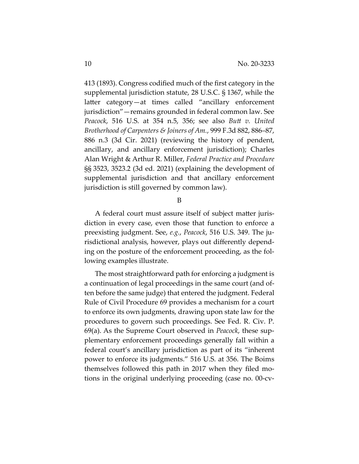413 (1893). Congress codified much of the first category in the supplemental jurisdiction statute, 28 U.S.C. § 1367, while the latter category—at times called "ancillary enforcement jurisdiction"—remains grounded in federal common law. See *Peacock*, 516 U.S. at 354 n.5, 356; see also *Butt v. United Brotherhood of Carpenters & Joiners of Am.*, 999 F.3d 882, 886–87, 886 n.3 (3d Cir. 2021) (reviewing the history of pendent, ancillary, and ancillary enforcement jurisdiction); Charles Alan Wright & Arthur R. Miller, *Federal Practice and Procedure* §§ 3523, 3523.2 (3d ed. 2021) (explaining the development of supplemental jurisdiction and that ancillary enforcement jurisdiction is still governed by common law).

B

A federal court must assure itself of subject matter jurisdiction in every case, even those that function to enforce a preexisting judgment. See, *e.g.*, *Peacock*, 516 U.S. 349. The jurisdictional analysis, however, plays out differently depending on the posture of the enforcement proceeding, as the following examples illustrate.

The most straightforward path for enforcing a judgment is a continuation of legal proceedings in the same court (and often before the same judge) that entered the judgment. Federal Rule of Civil Procedure 69 provides a mechanism for a court to enforce its own judgments, drawing upon state law for the procedures to govern such proceedings. See Fed. R. Civ. P. 69(a). As the Supreme Court observed in *Peacock*, these supplementary enforcement proceedings generally fall within a federal court's ancillary jurisdiction as part of its "inherent power to enforce its judgments." 516 U.S. at 356. The Boims themselves followed this path in 2017 when they filed motions in the original underlying proceeding (case no. 00-cv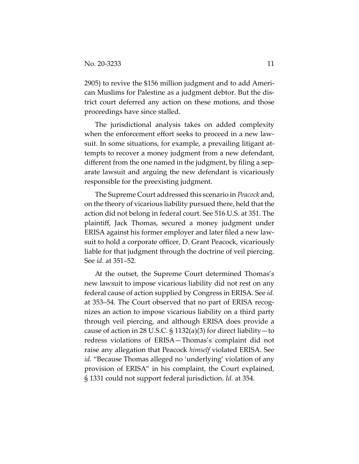2905) to revive the \$156 million judgment and to add American Muslims for Palestine as a judgment debtor. But the district court deferred any action on these motions, and those proceedings have since stalled.

The jurisdictional analysis takes on added complexity when the enforcement effort seeks to proceed in a new lawsuit. In some situations, for example, a prevailing litigant attempts to recover a money judgment from a new defendant, different from the one named in the judgment, by filing a separate lawsuit and arguing the new defendant is vicariously responsible for the preexisting judgment.

The Supreme Court addressed this scenario in *Peacock* and, on the theory of vicarious liability pursued there, held that the action did not belong in federal court. See 516 U.S. at 351. The plaintiff, Jack Thomas, secured a money judgment under ERISA against his former employer and later filed a new lawsuit to hold a corporate officer, D. Grant Peacock, vicariously liable for that judgment through the doctrine of veil piercing. See *id.* at 351–52.

At the outset, the Supreme Court determined Thomas's new lawsuit to impose vicarious liability did not rest on any federal cause of action supplied by Congress in ERISA. See *id.* at 353–54. The Court observed that no part of ERISA recognizes an action to impose vicarious liability on a third party through veil piercing, and although ERISA does provide a cause of action in 28 U.S.C.  $\S 1132(a)(3)$  for direct liability — to redress violations of ERISA—Thomas's complaint did not raise any allegation that Peacock *himself* violated ERISA. See *id.* "Because Thomas alleged no 'underlying' violation of any provision of ERISA" in his complaint, the Court explained, § 1331 could not support federal jurisdiction. *Id.* at 354.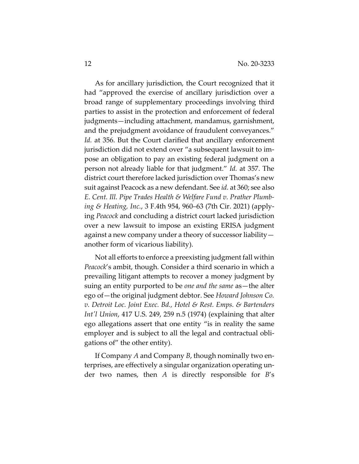As for ancillary jurisdiction, the Court recognized that it had "approved the exercise of ancillary jurisdiction over a broad range of supplementary proceedings involving third parties to assist in the protection and enforcement of federal judgments—including attachment, mandamus, garnishment, and the prejudgment avoidance of fraudulent conveyances." *Id.* at 356. But the Court clarified that ancillary enforcement jurisdiction did not extend over "a subsequent lawsuit to impose an obligation to pay an existing federal judgment on a person not already liable for that judgment." *Id.* at 357. The district court therefore lacked jurisdiction over Thomas's new suit against Peacock as a new defendant. See *id.* at 360; see also *E. Cent. Ill. Pipe Trades Health & Welfare Fund v. Prather Plumbing & Heating, Inc.*, 3 F.4th 954, 960–63 (7th Cir. 2021) (applying *Peacock* and concluding a district court lacked jurisdiction over a new lawsuit to impose an existing ERISA judgment against a new company under a theory of successor liability another form of vicarious liability).

Not all efforts to enforce a preexisting judgment fall within *Peacock*'s ambit, though. Consider a third scenario in which a prevailing litigant attempts to recover a money judgment by suing an entity purported to be *one and the same* as—the alter ego of—the original judgment debtor. See *Howard Johnson Co. v. Detroit Loc. Joint Exec. Bd., Hotel & Rest. Emps. & Bartenders Int'l Union*, 417 U.S. 249, 259 n.5 (1974) (explaining that alter ego allegations assert that one entity "is in reality the same employer and is subject to all the legal and contractual obligations of" the other entity).

If Company *A* and Company *B*, though nominally two enterprises, are effectively a singular organization operating under two names, then *A* is directly responsible for *B*'s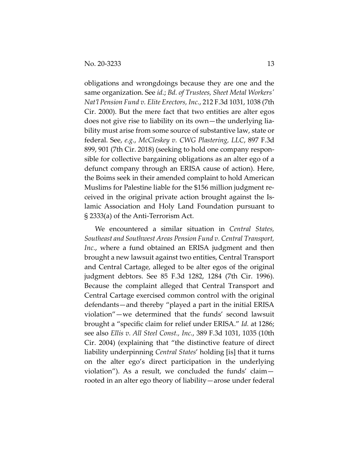obligations and wrongdoings because they are one and the same organization. See *id.*; *Bd. of Trustees, Sheet Metal Workers' Nat'l Pension Fund v. Elite Erectors, Inc.*, 212 F.3d 1031, 1038 (7th Cir. 2000). But the mere fact that two entities are alter egos does not give rise to liability on its own—the underlying liability must arise from some source of substantive law, state or federal. See, *e.g.*, *McCleskey v. CWG Plastering, LLC*, 897 F.3d 899, 901 (7th Cir. 2018) (seeking to hold one company responsible for collective bargaining obligations as an alter ego of a defunct company through an ERISA cause of action). Here, the Boims seek in their amended complaint to hold American Muslims for Palestine liable for the \$156 million judgment received in the original private action brought against the Islamic Association and Holy Land Foundation pursuant to § 2333(a) of the Anti-Terrorism Act.

We encountered a similar situation in *Central States, Southeast and Southwest Areas Pension Fund v. Central Transport, Inc.*, where a fund obtained an ERISA judgment and then brought a new lawsuit against two entities, Central Transport and Central Cartage, alleged to be alter egos of the original judgment debtors. See 85 F.3d 1282, 1284 (7th Cir. 1996). Because the complaint alleged that Central Transport and Central Cartage exercised common control with the original defendants—and thereby "played a part in the initial ERISA violation"—we determined that the funds' second lawsuit brought a "specific claim for relief under ERISA." *Id.* at 1286; see also *Ellis v. All Steel Const., Inc.*, 389 F.3d 1031, 1035 (10th Cir. 2004) (explaining that "the distinctive feature of direct liability underpinning *Central States*' holding [is] that it turns on the alter ego's direct participation in the underlying violation"). As a result, we concluded the funds' claim rooted in an alter ego theory of liability—arose under federal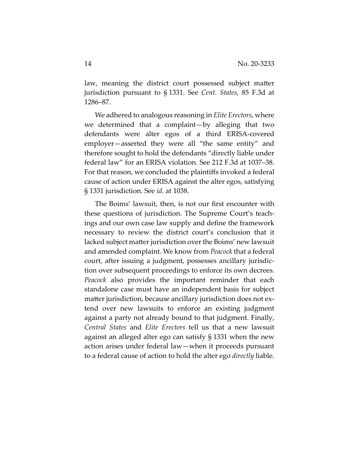law, meaning the district court possessed subject matter jurisdiction pursuant to § 1331. See *Cent. States*, 85 F.3d at 1286–87.

We adhered to analogous reasoning in *Elite Erectors*, where we determined that a complaint—by alleging that two defendants were alter egos of a third ERISA-covered employer—asserted they were all "the same entity" and therefore sought to hold the defendants "directly liable under federal law" for an ERISA violation. See 212 F.3d at 1037–38. For that reason, we concluded the plaintiffs invoked a federal cause of action under ERISA against the alter egos, satisfying § 1331 jurisdiction. See *id.* at 1038.

The Boims' lawsuit, then, is not our first encounter with these questions of jurisdiction. The Supreme Court's teachings and our own case law supply and define the framework necessary to review the district court's conclusion that it lacked subject matter jurisdiction over the Boims' new lawsuit and amended complaint. We know from *Peacock* that a federal court, after issuing a judgment, possesses ancillary jurisdiction over subsequent proceedings to enforce its own decrees. *Peacock* also provides the important reminder that each standalone case must have an independent basis for subject matter jurisdiction, because ancillary jurisdiction does not extend over new lawsuits to enforce an existing judgment against a party not already bound to that judgment. Finally, *Central States* and *Elite Erectors* tell us that a new lawsuit against an alleged alter ego can satisfy § 1331 when the new action arises under federal law—when it proceeds pursuant to a federal cause of action to hold the alter ego *directly* liable.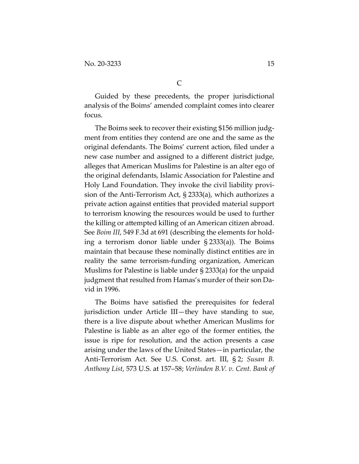Guided by these precedents, the proper jurisdictional analysis of the Boims' amended complaint comes into clearer focus.

The Boims seek to recover their existing \$156 million judgment from entities they contend are one and the same as the original defendants. The Boims' current action, filed under a new case number and assigned to a different district judge, alleges that American Muslims for Palestine is an alter ego of the original defendants, Islamic Association for Palestine and Holy Land Foundation. They invoke the civil liability provision of the Anti-Terrorism Act, § 2333(a), which authorizes a private action against entities that provided material support to terrorism knowing the resources would be used to further the killing or attempted killing of an American citizen abroad. See *Boim III*, 549 F.3d at 691 (describing the elements for holding a terrorism donor liable under § 2333(a)). The Boims maintain that because these nominally distinct entities are in reality the same terrorism-funding organization, American Muslims for Palestine is liable under § 2333(a) for the unpaid judgment that resulted from Hamas's murder of their son David in 1996.

The Boims have satisfied the prerequisites for federal jurisdiction under Article III—they have standing to sue, there is a live dispute about whether American Muslims for Palestine is liable as an alter ego of the former entities, the issue is ripe for resolution, and the action presents a case arising under the laws of the United States—in particular, the Anti-Terrorism Act. See U.S. Const. art. III, § 2; *Susan B. Anthony List*, 573 U.S. at 157–58; *Verlinden B.V. v. Cent. Bank of*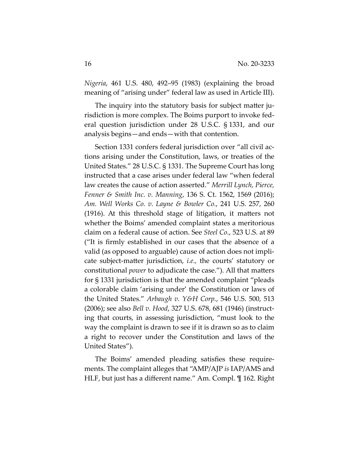*Nigeria*, 461 U.S. 480, 492–95 (1983) (explaining the broad meaning of "arising under" federal law as used in Article III).

The inquiry into the statutory basis for subject matter jurisdiction is more complex. The Boims purport to invoke federal question jurisdiction under 28 U.S.C. § 1331, and our analysis begins—and ends—with that contention.

Section 1331 confers federal jurisdiction over "all civil actions arising under the Constitution, laws, or treaties of the United States." 28 U.S.C. § 1331. The Supreme Court has long instructed that a case arises under federal law "when federal law creates the cause of action asserted." *Merrill Lynch, Pierce, Fenner & Smith Inc. v. Manning*, 136 S. Ct. 1562, 1569 (2016); *Am. Well Works Co. v. Layne & Bowler Co.*, 241 U.S. 257, 260 (1916). At this threshold stage of litigation, it matters not whether the Boims' amended complaint states a meritorious claim on a federal cause of action. See *Steel Co.*, 523 U.S. at 89 ("It is firmly established in our cases that the absence of a valid (as opposed to arguable) cause of action does not implicate subject-matter jurisdiction, *i.e.,* the courts' statutory or constitutional *power* to adjudicate the case."). All that matters for § 1331 jurisdiction is that the amended complaint "pleads a colorable claim 'arising under' the Constitution or laws of the United States." *Arbaugh v. Y&H Corp.*, 546 U.S. 500, 513 (2006); see also *Bell v. Hood*, 327 U.S. 678, 681 (1946) (instructing that courts, in assessing jurisdiction, "must look to the way the complaint is drawn to see if it is drawn so as to claim a right to recover under the Constitution and laws of the United States").

The Boims' amended pleading satisfies these requirements. The complaint alleges that "AMP/AJP *is* IAP/AMS and HLF, but just has a different name." Am. Compl. ¶ 162. Right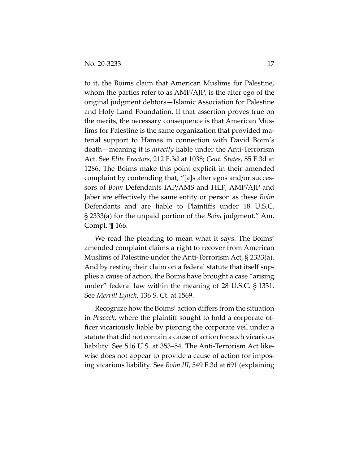to it, the Boims claim that American Muslims for Palestine, whom the parties refer to as AMP/AJP, is the alter ego of the original judgment debtors—Islamic Association for Palestine and Holy Land Foundation. If that assertion proves true on the merits, the necessary consequence is that American Muslims for Palestine is the same organization that provided material support to Hamas in connection with David Boim's death—meaning it is *directly* liable under the Anti-Terrorism Act. See *Elite Erectors*, 212 F.3d at 1038; *Cent. States*, 85 F.3d at 1286. The Boims make this point explicit in their amended complaint by contending that, "[a]s alter egos and/or successors of *Boim* Defendants IAP/AMS and HLF, AMP/AJP and Jaber are effectively the same entity or person as these *Boim* Defendants and are liable to Plaintiffs under 18 U.S.C. § 2333(a) for the unpaid portion of the *Boim* judgment." Am. Compl. ¶ 166.

We read the pleading to mean what it says. The Boims' amended complaint claims a right to recover from American Muslims of Palestine under the Anti-Terrorism Act, § 2333(a). And by resting their claim on a federal statute that itself supplies a cause of action, the Boims have brought a case "arising under" federal law within the meaning of 28 U.S.C. § 1331. See *Merrill Lynch*, 136 S. Ct. at 1569.

Recognize how the Boims' action differs from the situation in *Peacock*, where the plaintiff sought to hold a corporate officer vicariously liable by piercing the corporate veil under a statute that did not contain a cause of action for such vicarious liability. See 516 U.S. at 353–54. The Anti-Terrorism Act likewise does not appear to provide a cause of action for imposing vicarious liability. See *Boim III*, 549 F.3d at 691 (explaining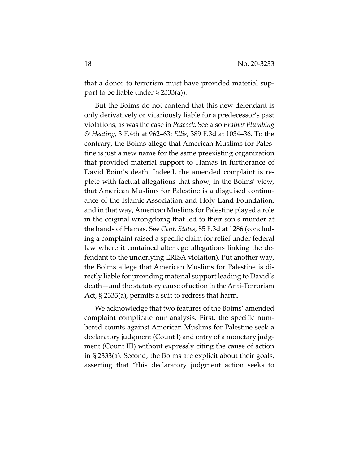that a donor to terrorism must have provided material support to be liable under § 2333(a)).

But the Boims do not contend that this new defendant is only derivatively or vicariously liable for a predecessor's past violations, as was the case in *Peacock*. See also *Prather Plumbing & Heating*, 3 F.4th at 962–63; *Ellis*, 389 F.3d at 1034–36. To the contrary, the Boims allege that American Muslims for Palestine is just a new name for the same preexisting organization that provided material support to Hamas in furtherance of David Boim's death. Indeed, the amended complaint is replete with factual allegations that show, in the Boims' view, that American Muslims for Palestine is a disguised continuance of the Islamic Association and Holy Land Foundation, and in that way, American Muslims for Palestine played a role in the original wrongdoing that led to their son's murder at the hands of Hamas. See *Cent. States*, 85 F.3d at 1286 (concluding a complaint raised a specific claim for relief under federal law where it contained alter ego allegations linking the defendant to the underlying ERISA violation). Put another way, the Boims allege that American Muslims for Palestine is directly liable for providing material support leading to David's death—and the statutory cause of action in the Anti-Terrorism Act, § 2333(a), permits a suit to redress that harm.

We acknowledge that two features of the Boims' amended complaint complicate our analysis. First, the specific numbered counts against American Muslims for Palestine seek a declaratory judgment (Count I) and entry of a monetary judgment (Count III) without expressly citing the cause of action in § 2333(a). Second, the Boims are explicit about their goals, asserting that "this declaratory judgment action seeks to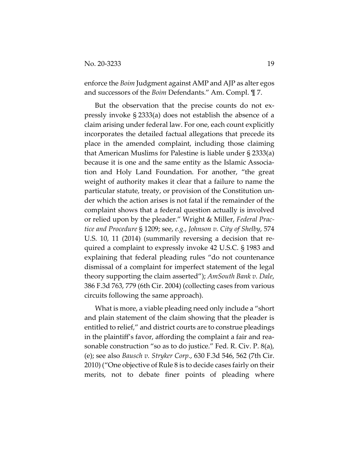enforce the *Boim* Judgment against AMP and AJP as alter egos and successors of the *Boim* Defendants." Am. Compl. ¶ 7.

But the observation that the precise counts do not expressly invoke § 2333(a) does not establish the absence of a claim arising under federal law. For one, each count explicitly incorporates the detailed factual allegations that precede its place in the amended complaint, including those claiming that American Muslims for Palestine is liable under § 2333(a) because it is one and the same entity as the Islamic Association and Holy Land Foundation. For another, "the great weight of authority makes it clear that a failure to name the particular statute, treaty, or provision of the Constitution under which the action arises is not fatal if the remainder of the complaint shows that a federal question actually is involved or relied upon by the pleader." Wright & Miller, *Federal Practice and Procedure* § 1209; see, *e.g.*, *Johnson v. City of Shelby*, 574 U.S. 10, 11 (2014) (summarily reversing a decision that required a complaint to expressly invoke 42 U.S.C. § 1983 and explaining that federal pleading rules "do not countenance dismissal of a complaint for imperfect statement of the legal theory supporting the claim asserted"); *AmSouth Bank v. Dale*, 386 F.3d 763, 779 (6th Cir. 2004) (collecting cases from various circuits following the same approach).

What is more, a viable pleading need only include a "short and plain statement of the claim showing that the pleader is entitled to relief," and district courts are to construe pleadings in the plaintiff's favor, affording the complaint a fair and reasonable construction "so as to do justice." Fed. R. Civ. P. 8(a), (e); see also *Bausch v. Stryker Corp.*, 630 F.3d 546, 562 (7th Cir. 2010) ("One objective of Rule 8 is to decide cases fairly on their merits, not to debate finer points of pleading where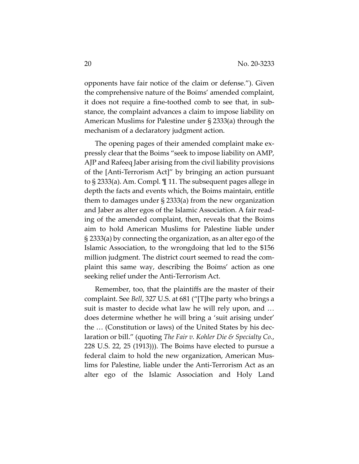opponents have fair notice of the claim or defense."). Given the comprehensive nature of the Boims' amended complaint, it does not require a fine-toothed comb to see that, in substance, the complaint advances a claim to impose liability on American Muslims for Palestine under § 2333(a) through the mechanism of a declaratory judgment action.

The opening pages of their amended complaint make expressly clear that the Boims "seek to impose liability on AMP, AJP and Rafeeq Jaber arising from the civil liability provisions of the [Anti-Terrorism Act]" by bringing an action pursuant to § 2333(a). Am. Compl. ¶ 11. The subsequent pages allege in depth the facts and events which, the Boims maintain, entitle them to damages under § 2333(a) from the new organization and Jaber as alter egos of the Islamic Association. A fair reading of the amended complaint, then, reveals that the Boims aim to hold American Muslims for Palestine liable under § 2333(a) by connecting the organization, as an alter ego of the Islamic Association, to the wrongdoing that led to the \$156 million judgment. The district court seemed to read the complaint this same way, describing the Boims' action as one seeking relief under the Anti-Terrorism Act.

Remember, too, that the plaintiffs are the master of their complaint. See *Bell*, 327 U.S. at 681 ("[T]he party who brings a suit is master to decide what law he will rely upon, and … does determine whether he will bring a 'suit arising under' the … (Constitution or laws) of the United States by his declaration or bill." (quoting *The Fair v. Kohler Die & Specialty Co.*, 228 U.S. 22, 25 (1913))). The Boims have elected to pursue a federal claim to hold the new organization, American Muslims for Palestine, liable under the Anti-Terrorism Act as an alter ego of the Islamic Association and Holy Land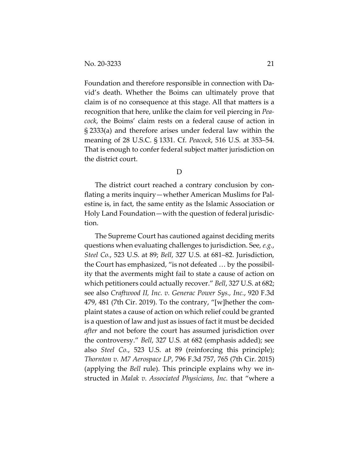Foundation and therefore responsible in connection with David's death. Whether the Boims can ultimately prove that claim is of no consequence at this stage. All that matters is a recognition that here, unlike the claim for veil piercing in *Peacock*, the Boims' claim rests on a federal cause of action in § 2333(a) and therefore arises under federal law within the meaning of 28 U.S.C. § 1331. Cf. *Peacock*, 516 U.S. at 353–54. That is enough to confer federal subject matter jurisdiction on the district court.

D

The district court reached a contrary conclusion by conflating a merits inquiry—whether American Muslims for Palestine is, in fact, the same entity as the Islamic Association or Holy Land Foundation—with the question of federal jurisdiction.

The Supreme Court has cautioned against deciding merits questions when evaluating challenges to jurisdiction. See*, e.g.*, *Steel Co.*, 523 U.S. at 89; *Bell*, 327 U.S. at 681–82. Jurisdiction, the Court has emphasized, "is not defeated … by the possibility that the averments might fail to state a cause of action on which petitioners could actually recover." *Bell*, 327 U.S. at 682; see also *Craftwood II, Inc. v. Generac Power Sys., Inc.*, 920 F.3d 479, 481 (7th Cir. 2019). To the contrary, "[w]hether the complaint states a cause of action on which relief could be granted is a question of law and just as issues of fact it must be decided *after* and not before the court has assumed jurisdiction over the controversy." *Bell*, 327 U.S. at 682 (emphasis added); see also *Steel Co.*, 523 U.S. at 89 (reinforcing this principle); *Thornton v. M7 Aerospace LP*, 796 F.3d 757, 765 (7th Cir. 2015) (applying the *Bell* rule). This principle explains why we instructed in *Malak v. Associated Physicians, Inc.* that "where a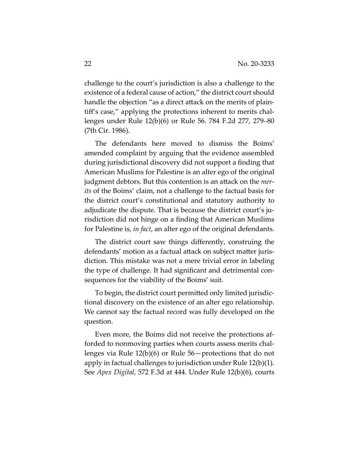challenge to the court's jurisdiction is also a challenge to the existence of a federal cause of action," the district court should handle the objection "as a direct attack on the merits of plaintiff's case," applying the protections inherent to merits challenges under Rule 12(b)(6) or Rule 56. 784 F.2d 277, 279–80 (7th Cir. 1986).

The defendants here moved to dismiss the Boims' amended complaint by arguing that the evidence assembled during jurisdictional discovery did not support a finding that American Muslims for Palestine is an alter ego of the original judgment debtors. But this contention is an attack on the *merits* of the Boims' claim, not a challenge to the factual basis for the district court's constitutional and statutory authority to adjudicate the dispute. That is because the district court's jurisdiction did not hinge on a finding that American Muslims for Palestine is, *in fact*, an alter ego of the original defendants.

The district court saw things differently, construing the defendants' motion as a factual attack on subject matter jurisdiction. This mistake was not a mere trivial error in labeling the type of challenge. It had significant and detrimental consequences for the viability of the Boims' suit.

To begin, the district court permitted only limited jurisdictional discovery on the existence of an alter ego relationship. We cannot say the factual record was fully developed on the question.

Even more, the Boims did not receive the protections afforded to nonmoving parties when courts assess merits challenges via Rule 12(b)(6) or Rule 56—protections that do not apply in factual challenges to jurisdiction under Rule 12(b)(1). See *Apex Digital*, 572 F.3d at 444. Under Rule 12(b)(6), courts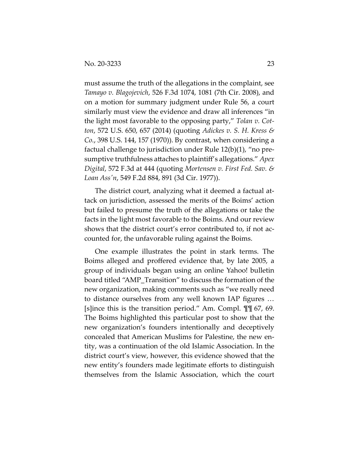must assume the truth of the allegations in the complaint, see *Tamayo v. Blagojevich*, 526 F.3d 1074, 1081 (7th Cir. 2008), and on a motion for summary judgment under Rule 56, a court similarly must view the evidence and draw all inferences "in the light most favorable to the opposing party," *Tolan v. Cotton*, 572 U.S. 650, 657 (2014) (quoting *Adickes v. S. H. Kress & Co.*, 398 U.S. 144, 157 (1970)). By contrast, when considering a factual challenge to jurisdiction under Rule 12(b)(1), "no presumptive truthfulness attaches to plaintiff's allegations." *Apex Digital*, 572 F.3d at 444 (quoting *Mortensen v. First Fed. Sav. & Loan Ass'n*, 549 F.2d 884, 891 (3d Cir. 1977)).

The district court, analyzing what it deemed a factual attack on jurisdiction, assessed the merits of the Boims' action but failed to presume the truth of the allegations or take the facts in the light most favorable to the Boims. And our review shows that the district court's error contributed to, if not accounted for, the unfavorable ruling against the Boims.

One example illustrates the point in stark terms. The Boims alleged and proffered evidence that, by late 2005, a group of individuals began using an online Yahoo! bulletin board titled "AMP\_Transition" to discuss the formation of the new organization, making comments such as "we really need to distance ourselves from any well known IAP figures … [s]ince this is the transition period." Am. Compl. ¶¶ 67, 69. The Boims highlighted this particular post to show that the new organization's founders intentionally and deceptively concealed that American Muslims for Palestine, the new entity, was a continuation of the old Islamic Association. In the district court's view, however, this evidence showed that the new entity's founders made legitimate efforts to distinguish themselves from the Islamic Association, which the court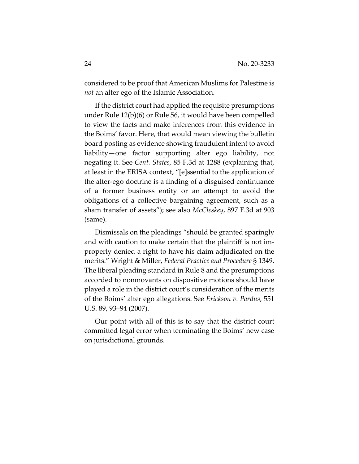considered to be proof that American Muslims for Palestine is *not* an alter ego of the Islamic Association.

If the district court had applied the requisite presumptions under Rule 12(b)(6) or Rule 56, it would have been compelled to view the facts and make inferences from this evidence in the Boims' favor. Here, that would mean viewing the bulletin board posting as evidence showing fraudulent intent to avoid liability—one factor supporting alter ego liability, not negating it. See *Cent. States*, 85 F.3d at 1288 (explaining that, at least in the ERISA context, "[e]ssential to the application of the alter-ego doctrine is a finding of a disguised continuance of a former business entity or an attempt to avoid the obligations of a collective bargaining agreement, such as a sham transfer of assets"); see also *McCleskey*, 897 F.3d at 903 (same).

Dismissals on the pleadings "should be granted sparingly and with caution to make certain that the plaintiff is not improperly denied a right to have his claim adjudicated on the merits." Wright & Miller, *Federal Practice and Procedure* § 1349. The liberal pleading standard in Rule 8 and the presumptions accorded to nonmovants on dispositive motions should have played a role in the district court's consideration of the merits of the Boims' alter ego allegations. See *Erickson v. Pardus*, 551 U.S. 89, 93–94 (2007).

Our point with all of this is to say that the district court committed legal error when terminating the Boims' new case on jurisdictional grounds.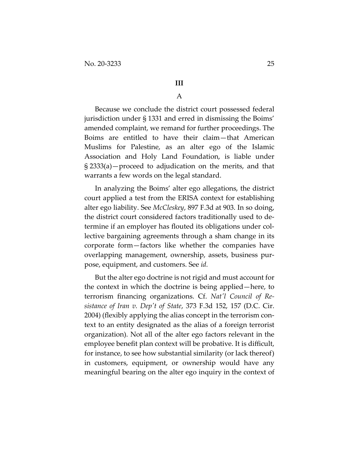### **III**

# A

Because we conclude the district court possessed federal jurisdiction under § 1331 and erred in dismissing the Boims' amended complaint, we remand for further proceedings. The Boims are entitled to have their claim—that American Muslims for Palestine, as an alter ego of the Islamic Association and Holy Land Foundation, is liable under § 2333(a)—proceed to adjudication on the merits, and that warrants a few words on the legal standard.

In analyzing the Boims' alter ego allegations, the district court applied a test from the ERISA context for establishing alter ego liability. See *McCleskey*, 897 F.3d at 903. In so doing, the district court considered factors traditionally used to determine if an employer has flouted its obligations under collective bargaining agreements through a sham change in its corporate form—factors like whether the companies have overlapping management, ownership, assets, business purpose, equipment, and customers. See *id.*

But the alter ego doctrine is not rigid and must account for the context in which the doctrine is being applied—here, to terrorism financing organizations. Cf. *Nat'l Council of Resistance of Iran v. Dep't of State*, 373 F.3d 152, 157 (D.C. Cir. 2004) (flexibly applying the alias concept in the terrorism context to an entity designated as the alias of a foreign terrorist organization). Not all of the alter ego factors relevant in the employee benefit plan context will be probative. It is difficult, for instance, to see how substantial similarity (or lack thereof) in customers, equipment, or ownership would have any meaningful bearing on the alter ego inquiry in the context of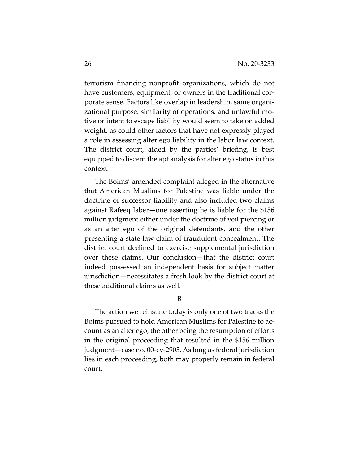terrorism financing nonprofit organizations, which do not have customers, equipment, or owners in the traditional corporate sense. Factors like overlap in leadership, same organizational purpose, similarity of operations, and unlawful motive or intent to escape liability would seem to take on added weight, as could other factors that have not expressly played a role in assessing alter ego liability in the labor law context. The district court, aided by the parties' briefing, is best equipped to discern the apt analysis for alter ego status in this context.

The Boims' amended complaint alleged in the alternative that American Muslims for Palestine was liable under the doctrine of successor liability and also included two claims against Rafeeq Jaber—one asserting he is liable for the \$156 million judgment either under the doctrine of veil piercing or as an alter ego of the original defendants, and the other presenting a state law claim of fraudulent concealment. The district court declined to exercise supplemental jurisdiction over these claims. Our conclusion—that the district court indeed possessed an independent basis for subject matter jurisdiction—necessitates a fresh look by the district court at these additional claims as well.

B

The action we reinstate today is only one of two tracks the Boims pursued to hold American Muslims for Palestine to account as an alter ego, the other being the resumption of efforts in the original proceeding that resulted in the \$156 million judgment—case no. 00-cv-2905. As long as federal jurisdiction lies in each proceeding, both may properly remain in federal court.